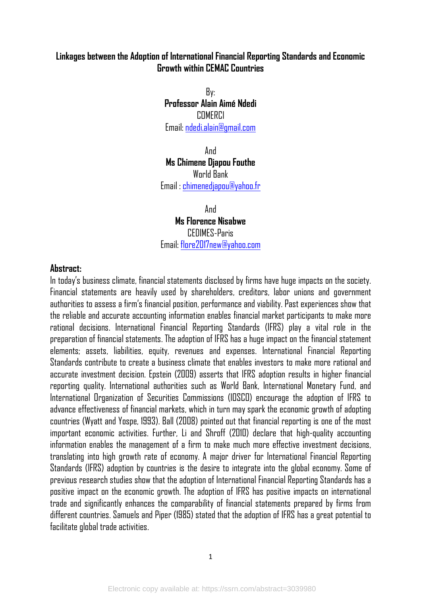#### **Linkages between the Adoption of International Financial Reporting Standards and Economic Growth within CEMAC Countries**

By: **Professor Alain Aimé Ndedi**  COMERCI Email: ndedi.alain@gmail.com

And **Ms Chimene Djapou Fouthe**  World Bank Email : chimenedjapou@yahoo.fr

And **Ms Florence Nisabwe**  CEDIMES-Paris Email: flore2017new@yahoo.com

#### **Abstract:**

In today's business climate, financial statements disclosed by firms have huge impacts on the society. Financial statements are heavily used by shareholders, creditors, labor unions and government authorities to assess a firm's financial position, performance and viability. Past experiences show that the reliable and accurate accounting information enables financial market participants to make more rational decisions. International Financial Reporting Standards (IFRS) play a vital role in the preparation of financial statements. The adoption of IFRS has a huge impact on the financial statement elements; assets, liabilities, equity, revenues and expenses. International Financial Reporting Standards contribute to create a business climate that enables investors to make more rational and accurate investment decision. Epstein (2009) asserts that IFRS adoption results in higher financial reporting quality. International authorities such as World Bank, International Monetary Fund, and International Organization of Securities Commissions (IOSCO) encourage the adoption of IFRS to advance effectiveness of financial markets, which in turn may spark the economic growth of adopting countries (Wyatt and Yospe, 1993). Ball (2008) pointed out that financial reporting is one of the most important economic activities. Further, Li and Shroff (2010) declare that high-quality accounting information enables the management of a firm to make much more effective investment decisions, translating into high growth rate of economy. A major driver for International Financial Reporting Standards (IFRS) adoption by countries is the desire to integrate into the global economy. Some of previous research studies show that the adoption of International Financial Reporting Standards has a positive impact on the economic growth. The adoption of IFRS has positive impacts on international trade and significantly enhances the comparability of financial statements prepared by firms from different countries. Samuels and Piper (1985) stated that the adoption of IFRS has a great potential to facilitate global trade activities.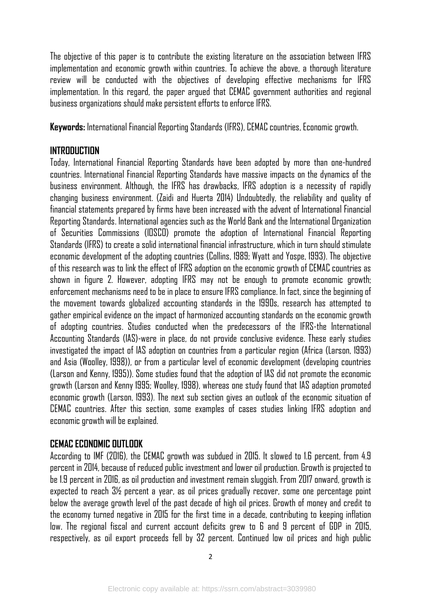The objective of this paper is to contribute the existing literature on the association between IFRS implementation and economic growth within countries. To achieve the above, a thorough literature review will be conducted with the objectives of developing effective mechanisms for IFRS implementation. In this regard, the paper argued that CEMAC government authorities and regional business organizations should make persistent efforts to enforce IFRS.

**Keywords:** International Financial Reporting Standards (IFRS), CEMAC countries, Economic growth.

#### **INTRODUCTION**

Today, International Financial Reporting Standards have been adopted by more than one-hundred countries. International Financial Reporting Standards have massive impacts on the dynamics of the business environment. Although, the IFRS has drawbacks, IFRS adoption is a necessity of rapidly changing business environment. (Zaidi and Huerta 2014) Undoubtedly, the reliability and quality of financial statements prepared by firms have been increased with the advent of International Financial Reporting Standards. International agencies such as the World Bank and the International Organization of Securities Commissions (IOSCO) promote the adoption of International Financial Reporting Standards (IFRS) to create a solid international financial infrastructure, which in turn should stimulate economic development of the adopting countries (Collins, 1989; Wyatt and Yospe, 1993). The objective of this research was to link the effect of IFRS adoption on the economic growth of CEMAC countries as shown in figure 2. However, adopting IFRS may not be enough to promote economic growth; enforcement mechanisms need to be in place to ensure IFRS compliance. In fact, since the beginning of the movement towards globalized accounting standards in the 1990s, research has attempted to gather empirical evidence on the impact of harmonized accounting standards on the economic growth of adopting countries. Studies conducted when the predecessors of the IFRS-the International Accounting Standards (IAS)-were in place, do not provide conclusive evidence. These early studies investigated the impact of IAS adoption on countries from a particular region (Africa (Larson, 1993) and Asia (Woolley, 1998)), or from a particular level of economic development (developing countries (Larson and Kenny, 1995)). Some studies found that the adoption of IAS did not promote the economic growth (Larson and Kenny 1995; Woolley, 1998), whereas one study found that IAS adaption promoted economic growth (Larson, 1993). The next sub section gives an outlook of the economic situation of CEMAC countries. After this section, some examples of cases studies linking IFRS adoption and economic growth will be explained.

## **CEMAC ECONOMIC OUTLOOK**

According to IMF (2016), the CEMAC growth was subdued in 2015. It slowed to 1.6 percent, from 4.9 percent in 2014, because of reduced public investment and lower oil production. Growth is projected to be 1.9 percent in 2016, as oil production and investment remain sluggish. From 2017 onward, growth is expected to reach 3½ percent a year, as oil prices gradually recover, some one percentage point below the average growth level of the past decade of high oil prices. Growth of money and credit to the economy turned negative in 2015 for the first time in a decade, contributing to keeping inflation low. The regional fiscal and current account deficits grew to 6 and 9 percent of GDP in 2015, respectively, as oil export proceeds fell by 32 percent. Continued low oil prices and high public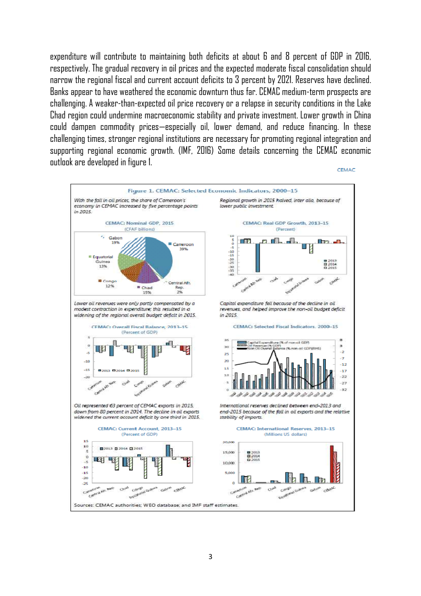expenditure will contribute to maintaining both deficits at about 6 and 8 percent of GDP in 2016, respectively. The gradual recovery in oil prices and the expected moderate fiscal consolidation should narrow the regional fiscal and current account deficits to 3 percent by 2021. Reserves have declined. Banks appear to have weathered the economic downturn thus far. CEMAC medium-term prospects are challenging. A weaker-than-expected oil price recovery or a relapse in security conditions in the Lake Chad region could undermine macroeconomic stability and private investment. Lower growth in China could dampen commodity prices—especially oil, lower demand, and reduce financing. In these challenging times, stronger regional institutions are necessary for promoting regional integration and supporting regional economic growth. (IMF, 2016) Some details concerning the CEMAC economic outlook are developed in figure 1.



3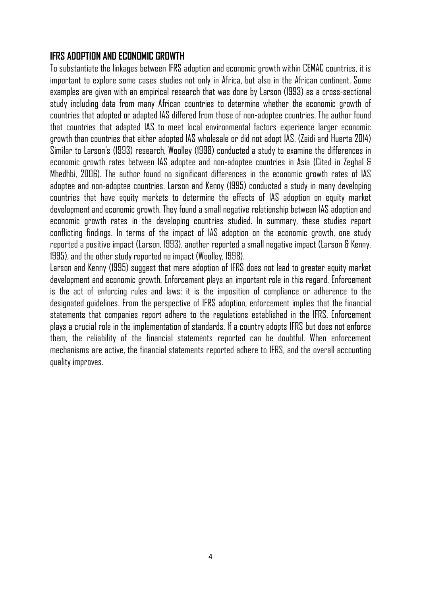#### **IFRS ADOPTION AND ECONOMIC GROWTH**

To substantiate the linkages between IFRS adoption and economic growth within CEMAC countries, it is important to explore some cases studies not only in Africa, but also in the African continent. Some examples are given with an empirical research that was done by Larson (1993) as a cross-sectional study including data from many African countries to determine whether the economic growth of countries that adopted or adapted IAS differed from those of non-adoptee countries. The author found that countries that adapted IAS to meet local environmental factors experience larger economic growth than countries that either adopted IAS wholesale or did not adopt IAS. (Zaidi and Huerta 2014) Similar to Larson's (1993) research, Woolley (1998) conducted a study to examine the differences in economic growth rates between IAS adoptee and non-adoptee countries in Asia (Cited in Zeghal & Mhedhbi, 2006). The author found no significant differences in the economic growth rates of IAS adoptee and non-adoptee countries. Larson and Kenny (1995) conducted a study in many developing countries that have equity markets to determine the effects of IAS adoption on equity market development and economic growth. They found a small negative relationship between IAS adoption and economic growth rates in the developing countries studied. In summary, these studies report conflicting findings. In terms of the impact of IAS adoption on the economic growth, one study reported a positive impact (Larson, 1993), another reported a small negative impact (Larson & Kenny, 1995), and the other study reported no impact (Woolley, 1998).

Larson and Kenny (1995) suggest that mere adoption of IFRS does not lead to greater equity market development and economic growth. Enforcement plays an important role in this regard. Enforcement is the act of enforcing rules and laws; it is the imposition of compliance or adherence to the designated guidelines. From the perspective of IFRS adoption, enforcement implies that the financial statements that companies report adhere to the regulations established in the IFRS. Enforcement plays a crucial role in the implementation of standards. If a country adopts IFRS but does not enforce them, the reliability of the financial statements reported can be doubtful. When enforcement mechanisms are active, the financial statements reported adhere to IFRS, and the overall accounting quality improves.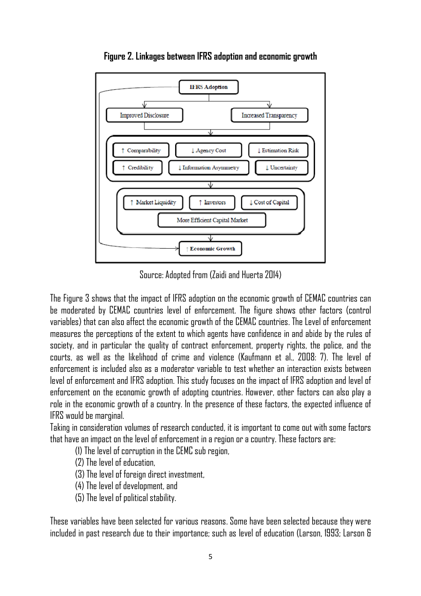

**Figure 2. Linkages between IFRS adoption and economic growth**

Source: Adopted from (Zaidi and Huerta 2014)

The Figure 3 shows that the impact of IFRS adoption on the economic growth of CEMAC countries can be moderated by CEMAC countries level of enforcement. The figure shows other factors (control variables) that can also affect the economic growth of the CEMAC countries. The Level of enforcement measures the perceptions of the extent to which agents have confidence in and abide by the rules of society, and in particular the quality of contract enforcement, property rights, the police, and the courts, as well as the likelihood of crime and violence (Kaufmann et al., 2008: 7). The level of enforcement is included also as a moderator variable to test whether an interaction exists between level of enforcement and IFRS adoption. This study focuses on the impact of IFRS adoption and level of enforcement on the economic growth of adopting countries. However, other factors can also play a role in the economic growth of a country. In the presence of these factors, the expected influence of IFRS would be marginal.

Taking in consideration volumes of research conducted, it is important to come out with some factors that have an impact on the level of enforcement in a region or a country. These factors are:

(1) The level of corruption in the CEMC sub region,

(2) The level of education,

(3) The level of foreign direct investment,

(4) The level of development, and

(5) The level of political stability.

These variables have been selected for various reasons. Some have been selected because they were included in past research due to their importance; such as level of education (Larson, 1993; Larson &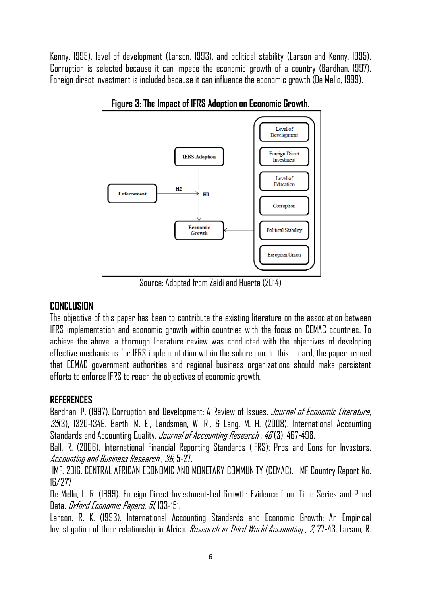Kenny, 1995), level of development (Larson, 1993), and political stability (Larson and Kenny, 1995). Corruption is selected because it can impede the economic growth of a country (Bardhan, 1997). Foreign direct investment is included because it can influence the economic growth (De Mello, 1999).



**Figure 3: The Impact of IFRS Adoption on Economic Growth.** 

Source: Adopted from Zaidi and Huerta (2014)

## **CONCLUSION**

The objective of this paper has been to contribute the existing literature on the association between IFRS implementation and economic growth within countries with the focus on CEMAC countries. To achieve the above, a thorough literature review was conducted with the objectives of developing effective mechanisms for IFRS implementation within the sub region. In this regard, the paper argued that CEMAC government authorities and regional business organizations should make persistent efforts to enforce IFRS to reach the objectives of economic growth.

# **REFERENCES**

Bardhan, P. (1997). Corruption and Development: A Review of Issues. *Journal of Economic Literature,*  $35/3$ , 1320-1346. Barth, M. E., Landsman, W. R., & Lang, M. H. (2008). International Accounting Standards and Accounting Quality. *Journal of Accounting Research , 46* (3), 467-498.

Ball, R. (2006). International Financial Reporting Standards (IFRS): Pros and Cons for Investors. Accounting and Business Research , 36, 5-27.

 IMF. 2016. CENTRAL AFRICAN ECONOMIC AND MONETARY COMMUNITY (CEMAC). IMF Country Report No. 16/277

De Mello, L. R. (1999). Foreign Direct Investment-Led Growth: Evidence from Time Series and Panel Data. Oxford Economic Papers, 51, 133-151.

Larson, R. K. (1993). International Accounting Standards and Economic Growth: An Empirical Investigation of their relationship in Africa. *Research in Third World Accounting , 2*, 27-43. Larson, R.